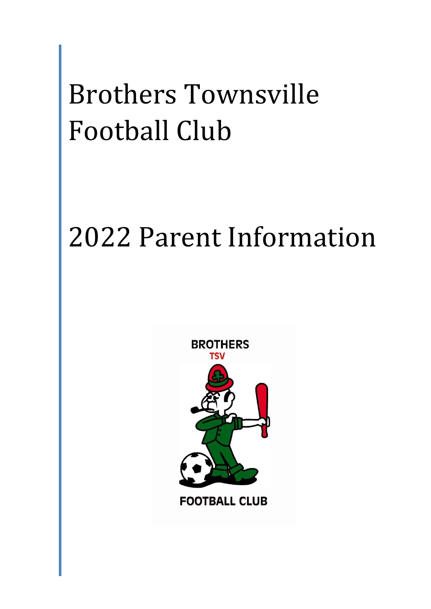# Brothers Townsville Football Club

# 2022 Parent Information



**FOOTBALL CLUB**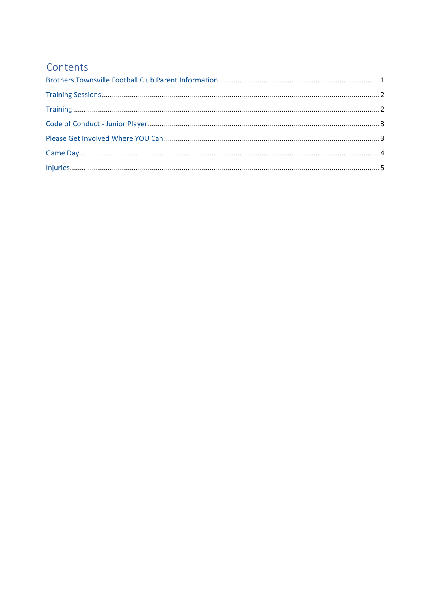# Contents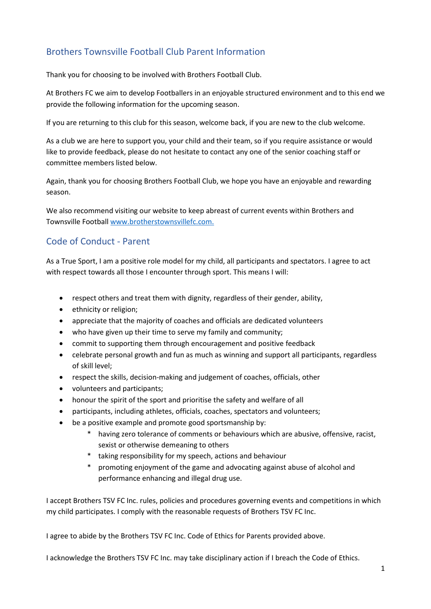# <span id="page-2-0"></span>Brothers Townsville Football Club Parent Information

Thank you for choosing to be involved with Brothers Football Club.

At Brothers FC we aim to develop Footballers in an enjoyable structured environment and to this end we provide the following information for the upcoming season.

If you are returning to this club for this season, welcome back, if you are new to the club welcome.

As a club we are here to support you, your child and their team, so if you require assistance or would like to provide feedback, please do not hesitate to contact any one of the senior coaching staff or committee members listed below.

Again, thank you for choosing Brothers Football Club, we hope you have an enjoyable and rewarding season.

We also recommend visiting our website to keep abreast of current events within Brothers and Townsville Football www.brotherstownsvillefc.com.

### Code of Conduct - Parent

As a True Sport, I am a positive role model for my child, all participants and spectators. I agree to act with respect towards all those I encounter through sport. This means I will:

- respect others and treat them with dignity, regardless of their gender, ability,
- ethnicity or religion;
- appreciate that the majority of coaches and officials are dedicated volunteers
- who have given up their time to serve my family and community;
- commit to supporting them through encouragement and positive feedback
- celebrate personal growth and fun as much as winning and support all participants, regardless of skill level;
- respect the skills, decision-making and judgement of coaches, officials, other
- volunteers and participants;
- honour the spirit of the sport and prioritise the safety and welfare of all
- participants, including athletes, officials, coaches, spectators and volunteers;
- be a positive example and promote good sportsmanship by:
	- \* having zero tolerance of comments or behaviours which are abusive, offensive, racist, sexist or otherwise demeaning to others
	- \* taking responsibility for my speech, actions and behaviour
	- promoting enjoyment of the game and advocating against abuse of alcohol and performance enhancing and illegal drug use.

I accept Brothers TSV FC Inc. rules, policies and procedures governing events and competitions in which my child participates. I comply with the reasonable requests of Brothers TSV FC Inc.

I agree to abide by the Brothers TSV FC Inc. Code of Ethics for Parents provided above.

I acknowledge the Brothers TSV FC Inc. may take disciplinary action if I breach the Code of Ethics.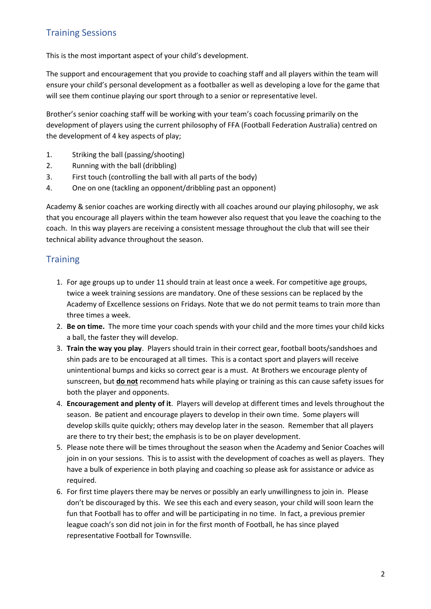# <span id="page-3-0"></span>Training Sessions

This is the most important aspect of your child's development.

The support and encouragement that you provide to coaching staff and all players within the team will ensure your child's personal development as a footballer as well as developing a love for the game that will see them continue playing our sport through to a senior or representative level.

Brother's senior coaching staff will be working with your team's coach focussing primarily on the development of players using the current philosophy of FFA (Football Federation Australia) centred on the development of 4 key aspects of play;

- 1. Striking the ball (passing/shooting)
- 2. Running with the ball (dribbling)
- 3. First touch (controlling the ball with all parts of the body)
- 4. One on one (tackling an opponent/dribbling past an opponent)

Academy & senior coaches are working directly with all coaches around our playing philosophy, we ask that you encourage all players within the team however also request that you leave the coaching to the coach. In this way players are receiving a consistent message throughout the club that will see their technical ability advance throughout the season.

#### <span id="page-3-1"></span>**Training**

- 1. For age groups up to under 11 should train at least once a week. For competitive age groups, twice a week training sessions are mandatory. One of these sessions can be replaced by the Academy of Excellence sessions on Fridays. Note that we do not permit teams to train more than three times a week.
- 2. **Be on time.** The more time your coach spends with your child and the more times your child kicks a ball, the faster they will develop.
- 3. **Train the way you play**. Players should train in their correct gear, football boots/sandshoes and shin pads are to be encouraged at all times. This is a contact sport and players will receive unintentional bumps and kicks so correct gear is a must. At Brothers we encourage plenty of sunscreen, but **do not** recommend hats while playing or training as this can cause safety issues for both the player and opponents.
- 4. **Encouragement and plenty of it**. Players will develop at different times and levels throughout the season. Be patient and encourage players to develop in their own time. Some players will develop skills quite quickly; others may develop later in the season. Remember that all players are there to try their best; the emphasis is to be on player development.
- 5. Please note there will be times throughout the season when the Academy and Senior Coaches will join in on your sessions. This is to assist with the development of coaches as well as players. They have a bulk of experience in both playing and coaching so please ask for assistance or advice as required.
- 6. For first time players there may be nerves or possibly an early unwillingness to join in. Please don't be discouraged by this. We see this each and every season, your child will soon learn the fun that Football has to offer and will be participating in no time. In fact, a previous premier league coach's son did not join in for the first month of Football, he has since played representative Football for Townsville.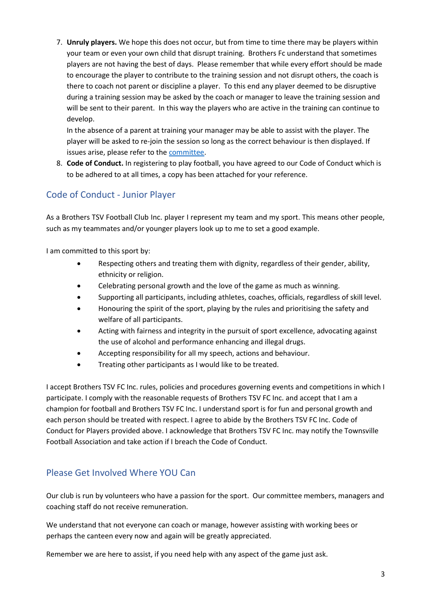7. **Unruly players.** We hope this does not occur, but from time to time there may be players within your team or even your own child that disrupt training. Brothers Fc understand that sometimes players are not having the best of days. Please remember that while every effort should be made to encourage the player to contribute to the training session and not disrupt others, the coach is there to coach not parent or discipline a player. To this end any player deemed to be disruptive during a training session may be asked by the coach or manager to leave the training session and will be sent to their parent. In this way the players who are active in the training can continue to develop.

In the absence of a parent at training your manager may be able to assist with the player. The player will be asked to re-join the session so long as the correct behaviour is then displayed. If issues arise, please refer to the committee.

8. **Code of Conduct.** In registering to play football, you have agreed to our Code of Conduct which is to be adhered to at all times, a copy has been attached for your reference.

# <span id="page-4-0"></span>Code of Conduct - Junior Player

As a Brothers TSV Football Club Inc. player I represent my team and my sport. This means other people, such as my teammates and/or younger players look up to me to set a good example.

I am committed to this sport by:

- Respecting others and treating them with dignity, regardless of their gender, ability, ethnicity or religion.
- Celebrating personal growth and the love of the game as much as winning.
- Supporting all participants, including athletes, coaches, officials, regardless of skill level.
- Honouring the spirit of the sport, playing by the rules and prioritising the safety and welfare of all participants.
- Acting with fairness and integrity in the pursuit of sport excellence, advocating against the use of alcohol and performance enhancing and illegal drugs.
- Accepting responsibility for all my speech, actions and behaviour.
- Treating other participants as I would like to be treated.

I accept Brothers TSV FC Inc. rules, policies and procedures governing events and competitions in which I participate. I comply with the reasonable requests of Brothers TSV FC Inc. and accept that I am a champion for football and Brothers TSV FC Inc. I understand sport is for fun and personal growth and each person should be treated with respect. I agree to abide by the Brothers TSV FC Inc. Code of Conduct for Players provided above. I acknowledge that Brothers TSV FC Inc. may notify the Townsville Football Association and take action if I breach the Code of Conduct.

### <span id="page-4-1"></span>Please Get Involved Where YOU Can

Our club is run by volunteers who have a passion for the sport. Our committee members, managers and coaching staff do not receive remuneration.

We understand that not everyone can coach or manage, however assisting with working bees or perhaps the canteen every now and again will be greatly appreciated.

Remember we are here to assist, if you need help with any aspect of the game just ask.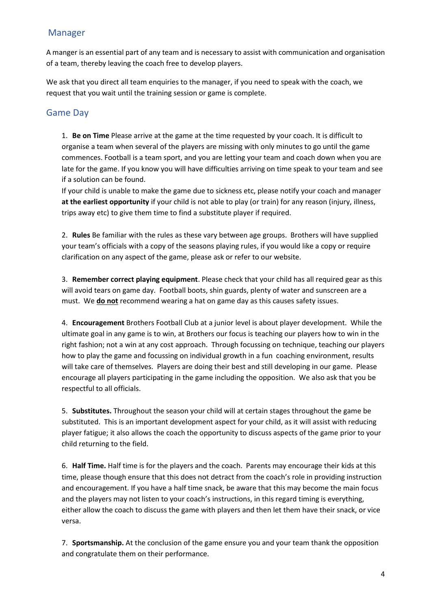### Manager

A manger is an essential part of any team and is necessary to assist with communication and organisation of a team, thereby leaving the coach free to develop players.

We ask that you direct all team enquiries to the manager, if you need to speak with the coach, we request that you wait until the training session or game is complete.

## <span id="page-5-0"></span>Game Day

1. **Be on Time** Please arrive at the game at the time requested by your coach. It is difficult to organise a team when several of the players are missing with only minutes to go until the game commences. Football is a team sport, and you are letting your team and coach down when you are late for the game. If you know you will have difficulties arriving on time speak to your team and see if a solution can be found.

If your child is unable to make the game due to sickness etc, please notify your coach and manager **at the earliest opportunity** if your child is not able to play (or train) for any reason (injury, illness, trips away etc) to give them time to find a substitute player if required.

2. **Rules** Be familiar with the rules as these vary between age groups. Brothers will have supplied your team's officials with a copy of the seasons playing rules, if you would like a copy or require clarification on any aspect of the game, please ask or refer to our website.

3. **Remember correct playing equipment**. Please check that your child has all required gear as this will avoid tears on game day. Football boots, shin guards, plenty of water and sunscreen are a must. We **do not** recommend wearing a hat on game day as this causes safety issues.

4. **Encouragement** Brothers Football Club at a junior level is about player development. While the ultimate goal in any game is to win, at Brothers our focus is teaching our players how to win in the right fashion; not a win at any cost approach. Through focussing on technique, teaching our players how to play the game and focussing on individual growth in a fun coaching environment, results will take care of themselves. Players are doing their best and still developing in our game. Please encourage all players participating in the game including the opposition. We also ask that you be respectful to all officials.

5. **Substitutes.** Throughout the season your child will at certain stages throughout the game be substituted. This is an important development aspect for your child, as it will assist with reducing player fatigue; it also allows the coach the opportunity to discuss aspects of the game prior to your child returning to the field.

6. **Half Time.** Half time is for the players and the coach. Parents may encourage their kids at this time, please though ensure that this does not detract from the coach's role in providing instruction and encouragement. If you have a half time snack, be aware that this may become the main focus and the players may not listen to your coach's instructions, in this regard timing is everything, either allow the coach to discuss the game with players and then let them have their snack, or vice versa.

7. **Sportsmanship.** At the conclusion of the game ensure you and your team thank the opposition and congratulate them on their performance.